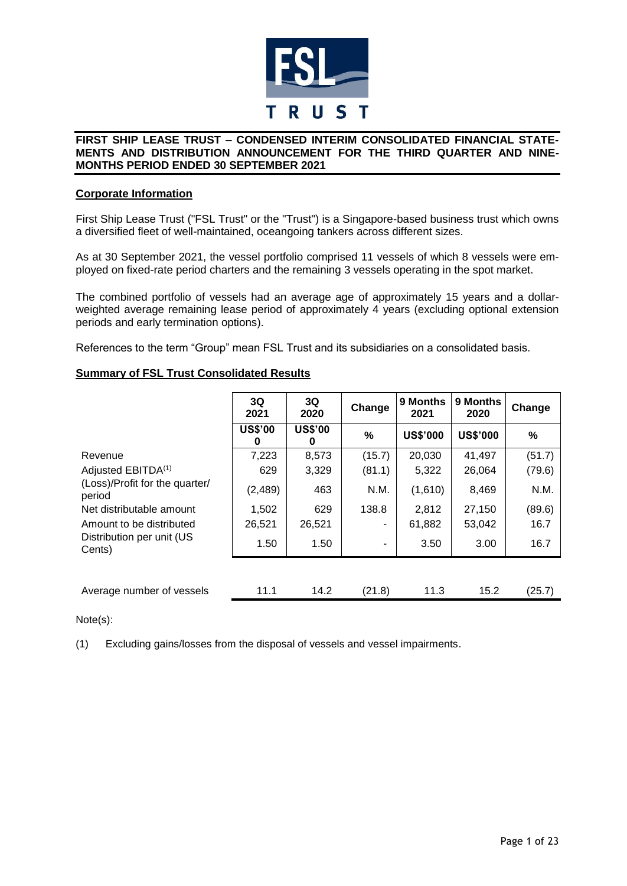

# **Corporate Information**

First Ship Lease Trust ("FSL Trust" or the "Trust") is a Singapore-based business trust which owns a diversified fleet of well-maintained, oceangoing tankers across different sizes.

As at 30 September 2021, the vessel portfolio comprised 11 vessels of which 8 vessels were employed on fixed-rate period charters and the remaining 3 vessels operating in the spot market.

The combined portfolio of vessels had an average age of approximately 15 years and a dollarweighted average remaining lease period of approximately 4 years (excluding optional extension periods and early termination options).

References to the term "Group" mean FSL Trust and its subsidiaries on a consolidated basis.

# **Summary of FSL Trust Consolidated Results**

|                                          | 3Q<br>2021          | 3Q<br>2020          | Change | 9 Months<br>2021 | 9 Months<br>2020 | Change |
|------------------------------------------|---------------------|---------------------|--------|------------------|------------------|--------|
|                                          | <b>US\$'00</b><br>0 | <b>US\$'00</b><br>0 | %      | <b>US\$'000</b>  | <b>US\$'000</b>  | %      |
| Revenue                                  | 7,223               | 8,573               | (15.7) | 20,030           | 41,497           | (51.7) |
| Adjusted EBITDA <sup>(1)</sup>           | 629                 | 3,329               | (81.1) | 5,322            | 26,064           | (79.6) |
| (Loss)/Profit for the quarter/<br>period | (2,489)             | 463                 | N.M.   | (1,610)          | 8,469            | N.M.   |
| Net distributable amount                 | 1,502               | 629                 | 138.8  | 2,812            | 27,150           | (89.6) |
| Amount to be distributed                 | 26,521              | 26,521              | ۰      | 61,882           | 53,042           | 16.7   |
| Distribution per unit (US<br>Cents)      | 1.50                | 1.50                |        | 3.50             | 3.00             | 16.7   |
|                                          |                     |                     |        |                  |                  |        |
| Average number of vessels                | 11.1                | 14.2                | (21.8) | 11.3             | 15.2             | (25.7) |

Note(s):

(1) Excluding gains/losses from the disposal of vessels and vessel impairments.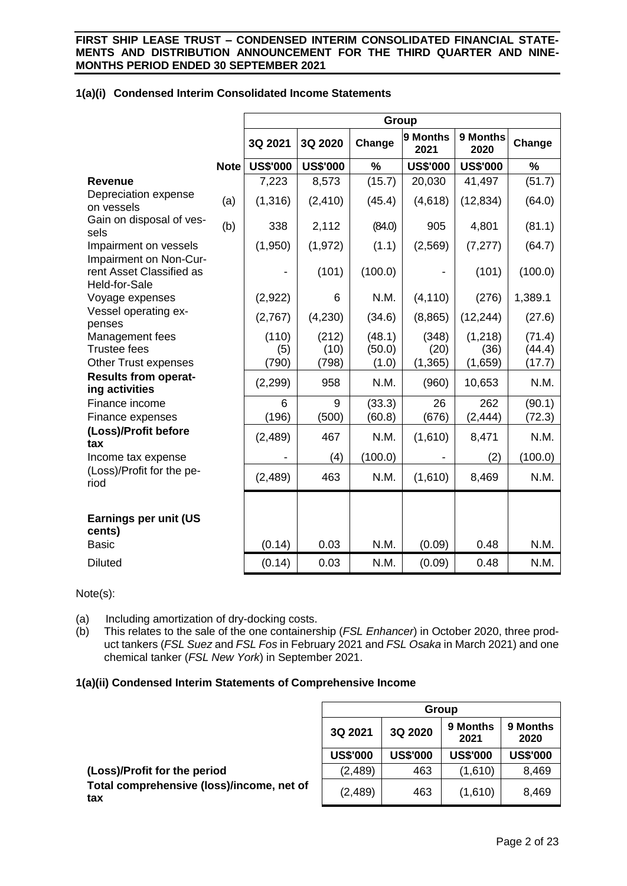|                                                            |             |                 |                 | Group         |                  |                  |         |
|------------------------------------------------------------|-------------|-----------------|-----------------|---------------|------------------|------------------|---------|
|                                                            |             | 3Q 2021         | 3Q 2020         | Change        | 9 Months<br>2021 | 9 Months<br>2020 | Change  |
|                                                            | <b>Note</b> | <b>US\$'000</b> | <b>US\$'000</b> | $\frac{0}{0}$ | <b>US\$'000</b>  | <b>US\$'000</b>  | $\%$    |
| <b>Revenue</b>                                             |             | 7,223           | 8,573           | (15.7)        | 20,030           | 41,497           | (51.7)  |
| Depreciation expense<br>on vessels                         | (a)         | (1,316)         | (2, 410)        | (45.4)        | (4,618)          | (12, 834)        | (64.0)  |
| Gain on disposal of ves-<br>sels                           | (b)         | 338             | 2,112           | (84.0)        | 905              | 4,801            | (81.1)  |
| Impairment on vessels<br>Impairment on Non-Cur-            |             | (1,950)         | (1, 972)        | (1.1)         | (2, 569)         | (7, 277)         | (64.7)  |
| rent Asset Classified as<br>Held-for-Sale                  |             |                 | (101)           | (100.0)       |                  | (101)            | (100.0) |
| Voyage expenses                                            |             | (2,922)         | 6               | N.M.          | (4, 110)         | (276)            | 1,389.1 |
| Vessel operating ex-<br>penses                             |             | (2,767)         | (4,230)         | (34.6)        | (8,865)          | (12, 244)        | (27.6)  |
| Management fees                                            |             | (110)           | (212)           | (48.1)        | (348)            | (1,218)          | (71.4)  |
| <b>Trustee fees</b>                                        |             | (5)             | (10)            | (50.0)        | (20)             | (36)             | (44.4)  |
| <b>Other Trust expenses</b><br><b>Results from operat-</b> |             | (790)           | (798)           | (1.0)         | (1, 365)         | (1,659)          | (17.7)  |
| ing activities                                             |             | (2, 299)        | 958             | N.M.          | (960)            | 10,653           | N.M.    |
| Finance income                                             |             | 6               | 9               | (33.3)        | 26               | 262              | (90.1)  |
| Finance expenses                                           |             | (196)           | (500)           | (60.8)        | (676)            | (2, 444)         | (72.3)  |
| (Loss)/Profit before<br>tax                                |             | (2, 489)        | 467             | N.M.          | (1,610)          | 8,471            | N.M.    |
| Income tax expense                                         |             |                 | (4)             | (100.0)       |                  | (2)              | (100.0) |
| (Loss)/Profit for the pe-<br>riod                          |             | (2,489)         | 463             | N.M.          | (1,610)          | 8,469            | N.M.    |
| Earnings per unit (US<br>cents)                            |             |                 |                 |               |                  |                  |         |
| <b>Basic</b>                                               |             | (0.14)          | 0.03            | N.M.          | (0.09)           | 0.48             | N.M.    |

# **1(a)(i) Condensed Interim Consolidated Income Statements**

Note(s):

(a) Including amortization of dry-docking costs.

(b) This relates to the sale of the one containership (*FSL Enhancer*) in October 2020, three product tankers (*FSL Suez* and *FSL Fos* in February 2021 and *FSL Osaka* in March 2021) and one chemical tanker (*FSL New York*) in September 2021.

Diluted (0.14) 0.03 N.M. (0.09) 0.48 N.M.

# **1(a)(ii) Condensed Interim Statements of Comprehensive Income**

|                                                  |                 |                 | Group            |                  |
|--------------------------------------------------|-----------------|-----------------|------------------|------------------|
|                                                  | 3Q 2021         | 3Q 2020         | 9 Months<br>2021 | 9 Months<br>2020 |
|                                                  | <b>US\$'000</b> | <b>US\$'000</b> | <b>US\$'000</b>  | <b>US\$'000</b>  |
| (Loss)/Profit for the period                     | (2, 489)        | 463             | (1,610)          | 8,469            |
| Total comprehensive (loss)/income, net of<br>tax | (2, 489)        | 463             | (1,610)          | 8,469            |
|                                                  |                 |                 |                  |                  |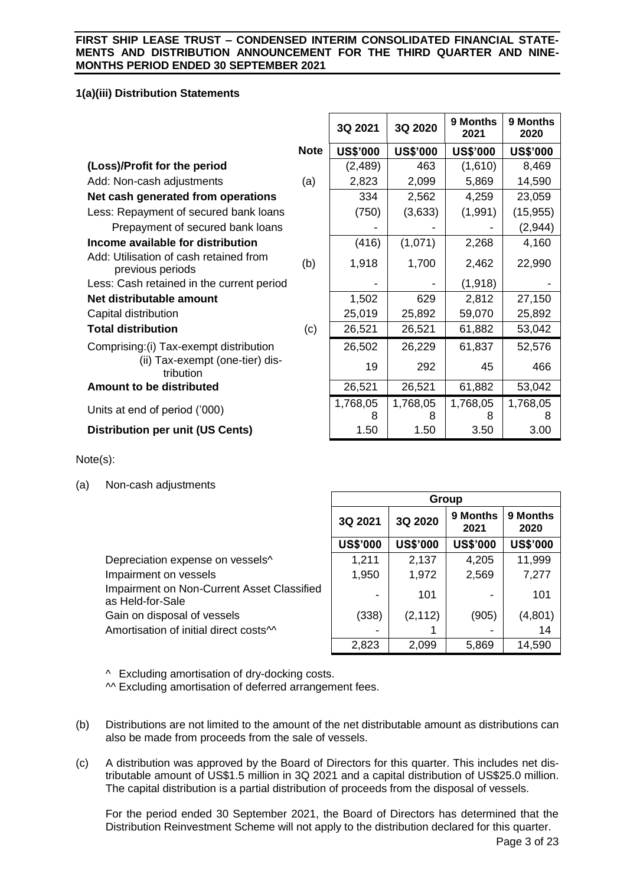# **1(a)(iii) Distribution Statements**

|                                                            |             | 3Q 2021         | 3Q 2020         | 9 Months<br>2021 | 9 Months<br>2020 |
|------------------------------------------------------------|-------------|-----------------|-----------------|------------------|------------------|
|                                                            | <b>Note</b> | <b>US\$'000</b> | <b>US\$'000</b> | <b>US\$'000</b>  | <b>US\$'000</b>  |
| (Loss)/Profit for the period                               |             | (2, 489)        | 463             | (1,610)          | 8,469            |
| Add: Non-cash adjustments                                  | (a)         | 2,823           | 2,099           | 5,869            | 14,590           |
| Net cash generated from operations                         |             | 334             | 2,562           | 4,259            | 23,059           |
| Less: Repayment of secured bank loans                      |             | (750)           | (3,633)         | (1,991)          | (15, 955)        |
| Prepayment of secured bank loans                           |             |                 |                 |                  | (2, 944)         |
| Income available for distribution                          |             | (416)           | (1,071)         | 2,268            | 4,160            |
| Add: Utilisation of cash retained from<br>previous periods | (b)         | 1,918           | 1,700           | 2,462            | 22,990           |
| Less: Cash retained in the current period                  |             |                 |                 | (1, 918)         |                  |
| Net distributable amount                                   |             | 1,502           | 629             | 2,812            | 27,150           |
| Capital distribution                                       |             | 25,019          | 25,892          | 59,070           | 25,892           |
| <b>Total distribution</b>                                  | (c)         | 26,521          | 26,521          | 61,882           | 53,042           |
| Comprising: (i) Tax-exempt distribution                    |             | 26,502          | 26,229          | 61,837           | 52,576           |
| (ii) Tax-exempt (one-tier) dis-<br>tribution               |             | 19              | 292             | 45               | 466              |
| <b>Amount to be distributed</b>                            |             | 26,521          | 26,521          | 61,882           | 53,042           |
| Units at end of period ('000)                              |             | 1,768,05<br>8   | 1,768,05<br>8   | 1,768,05<br>8    | 1,768,05         |
| <b>Distribution per unit (US Cents)</b>                    |             | 1.50            | 1.50            | 3.50             | 3.00             |

Note(s):

(a) Non-cash adjustments

|                                                                |                 |                 | Group            |                  |
|----------------------------------------------------------------|-----------------|-----------------|------------------|------------------|
|                                                                | 3Q 2021         | 3Q 2020         | 9 Months<br>2021 | 9 Months<br>2020 |
|                                                                | <b>US\$'000</b> | <b>US\$'000</b> | <b>US\$'000</b>  | <b>US\$'000</b>  |
| Depreciation expense on vessels^                               | 1,211           | 2,137           | 4,205            | 11,999           |
| Impairment on vessels                                          | 1,950           | 1,972           | 2,569            | 7,277            |
| Impairment on Non-Current Asset Classified<br>as Held-for-Sale | ۰               | 101             |                  | 101              |
| Gain on disposal of vessels                                    | (338)           | (2, 112)        | (905)            | (4,801)          |
| Amortisation of initial direct costs <sup>11</sup>             |                 |                 |                  | 14               |
|                                                                | 2,823           | 2,099           | 5,869            | 14,590           |

 $\sqrt{2}$ 

^^ Excluding amortisation of dry-docking costs.

^^ Excluding amortisation of deferred arrangement fees.

- (b) Distributions are not limited to the amount of the net distributable amount as distributions can also be made from proceeds from the sale of vessels.
- (c) A distribution was approved by the Board of Directors for this quarter. This includes net distributable amount of US\$1.5 million in 3Q 2021 and a capital distribution of US\$25.0 million. The capital distribution is a partial distribution of proceeds from the disposal of vessels.

For the period ended 30 September 2021, the Board of Directors has determined that the Distribution Reinvestment Scheme will not apply to the distribution declared for this quarter.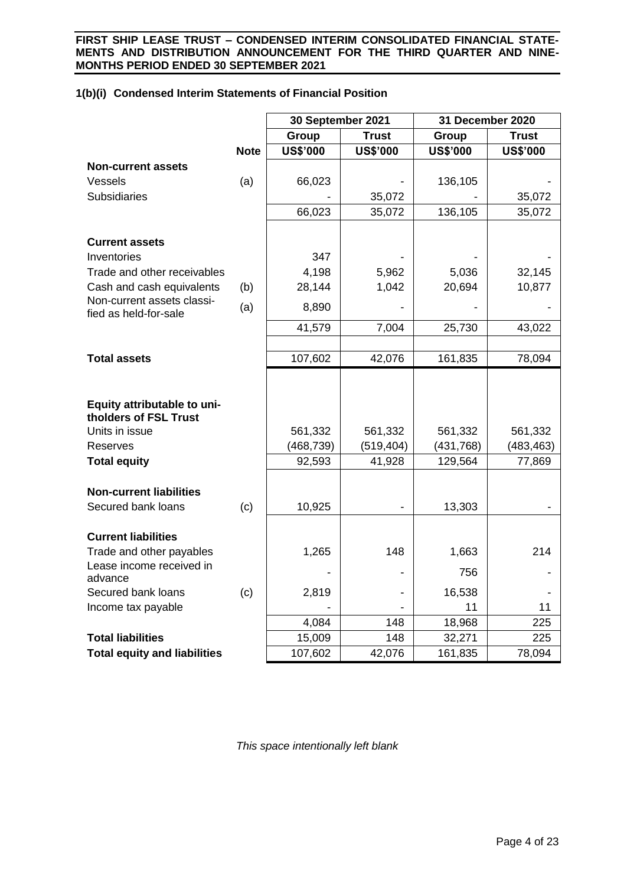# **1(b)(i) Condensed Interim Statements of Financial Position**

|                                                         |             | 30 September 2021 |                 | 31 December 2020 |                 |
|---------------------------------------------------------|-------------|-------------------|-----------------|------------------|-----------------|
|                                                         |             | Group             | <b>Trust</b>    | Group            | <b>Trust</b>    |
|                                                         | <b>Note</b> | <b>US\$'000</b>   | <b>US\$'000</b> | <b>US\$'000</b>  | <b>US\$'000</b> |
| <b>Non-current assets</b>                               |             |                   |                 |                  |                 |
| Vessels                                                 | (a)         | 66,023            |                 | 136,105          |                 |
| <b>Subsidiaries</b>                                     |             |                   | 35,072          |                  | 35,072          |
|                                                         |             | 66,023            | 35,072          | 136,105          | 35,072          |
|                                                         |             |                   |                 |                  |                 |
| <b>Current assets</b>                                   |             |                   |                 |                  |                 |
| Inventories                                             |             | 347               |                 |                  |                 |
| Trade and other receivables                             |             | 4,198             | 5,962           | 5,036            | 32,145          |
| Cash and cash equivalents<br>Non-current assets classi- | (b)         | 28,144            | 1,042           | 20,694           | 10,877          |
| fied as held-for-sale                                   | (a)         | 8,890             |                 |                  |                 |
|                                                         |             | 41,579            | 7,004           | 25,730           | 43,022          |
|                                                         |             |                   |                 |                  |                 |
| <b>Total assets</b>                                     |             | 107,602           | 42,076          | 161,835          | 78,094          |
|                                                         |             |                   |                 |                  |                 |
| Equity attributable to uni-<br>tholders of FSL Trust    |             |                   |                 |                  |                 |
| Units in issue                                          |             | 561,332           | 561,332         | 561,332          | 561,332         |
| <b>Reserves</b>                                         |             | (468,739)         | (519, 404)      | (431, 768)       | (483, 463)      |
| <b>Total equity</b>                                     |             | 92,593            | 41,928          | 129,564          | 77,869          |
|                                                         |             |                   |                 |                  |                 |
| <b>Non-current liabilities</b>                          |             |                   |                 |                  |                 |
| Secured bank loans                                      | (c)         | 10,925            |                 | 13,303           |                 |
|                                                         |             |                   |                 |                  |                 |
| <b>Current liabilities</b>                              |             |                   |                 |                  |                 |
| Trade and other payables<br>Lease income received in    |             | 1,265             | 148             | 1,663            | 214             |
| advance                                                 |             |                   |                 | 756              |                 |
| Secured bank loans                                      | (c)         | 2,819             |                 | 16,538           |                 |
| Income tax payable                                      |             |                   |                 | 11               | 11              |
|                                                         |             | 4,084             | 148             | 18,968           | 225             |
| <b>Total liabilities</b>                                |             | 15,009            | 148             | 32,271           | 225             |
| <b>Total equity and liabilities</b>                     |             | 107,602           | 42,076          | 161,835          | 78,094          |

*This space intentionally left blank*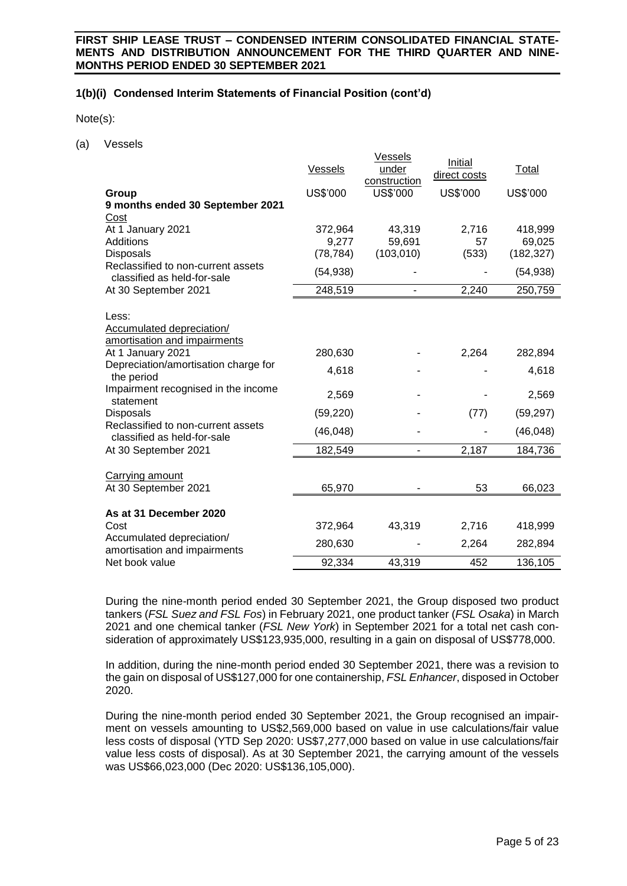# **1(b)(i) Condensed Interim Statements of Financial Position (cont'd)**

Note(s):

(a) Vessels

|                                                                    | Vessels   | <b>Vessels</b><br>under<br>construction | Initial<br>direct costs | Total      |
|--------------------------------------------------------------------|-----------|-----------------------------------------|-------------------------|------------|
| Group                                                              | US\$'000  | US\$'000                                | US\$'000                | US\$'000   |
| 9 months ended 30 September 2021                                   |           |                                         |                         |            |
| Cost                                                               |           |                                         |                         |            |
| At 1 January 2021                                                  | 372,964   | 43,319                                  | 2,716                   | 418,999    |
| Additions                                                          | 9,277     | 59,691                                  | 57                      | 69,025     |
| Disposals                                                          | (78, 784) | (103, 010)                              | (533)                   | (182, 327) |
| Reclassified to non-current assets<br>classified as held-for-sale  | (54, 938) |                                         |                         | (54, 938)  |
| At 30 September 2021                                               | 248,519   |                                         | 2,240                   | 250,759    |
| Less:<br>Accumulated depreciation/<br>amortisation and impairments |           |                                         |                         |            |
| At 1 January 2021                                                  | 280,630   |                                         | 2,264                   | 282,894    |
| Depreciation/amortisation charge for<br>the period                 | 4,618     |                                         |                         | 4,618      |
| Impairment recognised in the income<br>statement                   | 2,569     |                                         |                         | 2,569      |
| <b>Disposals</b>                                                   | (59, 220) |                                         | (77)                    | (59, 297)  |
| Reclassified to non-current assets<br>classified as held-for-sale  | (46, 048) |                                         |                         | (46, 048)  |
| At 30 September 2021                                               | 182,549   |                                         | 2,187                   | 184,736    |
| Carrying amount<br>At 30 September 2021                            | 65,970    |                                         | 53                      | 66,023     |
|                                                                    |           |                                         |                         |            |
| As at 31 December 2020                                             |           |                                         |                         |            |
| Cost                                                               | 372,964   | 43,319                                  | 2,716                   | 418,999    |
| Accumulated depreciation/<br>amortisation and impairments          | 280,630   |                                         | 2,264                   | 282,894    |
| Net book value                                                     | 92,334    | 43,319                                  | 452                     | 136,105    |

During the nine-month period ended 30 September 2021, the Group disposed two product tankers (*FSL Suez and FSL Fos*) in February 2021, one product tanker (*FSL Osaka*) in March 2021 and one chemical tanker (*FSL New York*) in September 2021 for a total net cash consideration of approximately US\$123,935,000, resulting in a gain on disposal of US\$778,000.

In addition, during the nine-month period ended 30 September 2021, there was a revision to the gain on disposal of US\$127,000 for one containership, *FSL Enhancer*, disposed in October 2020.

During the nine-month period ended 30 September 2021, the Group recognised an impairment on vessels amounting to US\$2,569,000 based on value in use calculations/fair value less costs of disposal (YTD Sep 2020: US\$7,277,000 based on value in use calculations/fair value less costs of disposal). As at 30 September 2021, the carrying amount of the vessels was US\$66,023,000 (Dec 2020: US\$136,105,000).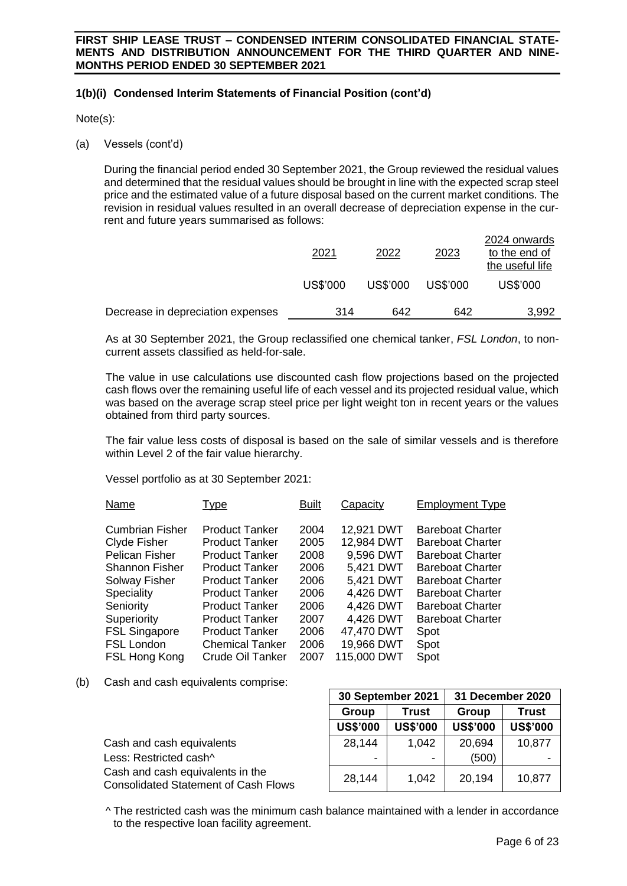# **1(b)(i) Condensed Interim Statements of Financial Position (cont'd)**

Note(s):

(a) Vessels (cont'd)

During the financial period ended 30 September 2021, the Group reviewed the residual values and determined that the residual values should be brought in line with the expected scrap steel price and the estimated value of a future disposal based on the current market conditions. The revision in residual values resulted in an overall decrease of depreciation expense in the current and future years summarised as follows:

|                                   | <u> 2021</u> | 2022     | 2023     | 2024 onwards<br>to the end of<br>the useful life |
|-----------------------------------|--------------|----------|----------|--------------------------------------------------|
|                                   | US\$'000     | US\$'000 | US\$'000 | US\$'000                                         |
| Decrease in depreciation expenses | 314          | 642      | 642      | 3,992                                            |

As at 30 September 2021, the Group reclassified one chemical tanker, *FSL London*, to noncurrent assets classified as held-for-sale.

The value in use calculations use discounted cash flow projections based on the projected cash flows over the remaining useful life of each vessel and its projected residual value, which was based on the average scrap steel price per light weight ton in recent years or the values obtained from third party sources.

The fair value less costs of disposal is based on the sale of similar vessels and is therefore within Level 2 of the fair value hierarchy.

Vessel portfolio as at 30 September 2021:

| Name                  | <u>Type</u>             | <b>Built</b> | Capacity    | <b>Employment Type</b>  |
|-----------------------|-------------------------|--------------|-------------|-------------------------|
| Cumbrian Fisher       | <b>Product Tanker</b>   | 2004         | 12,921 DWT  | <b>Bareboat Charter</b> |
| Clyde Fisher          | <b>Product Tanker</b>   | 2005         | 12,984 DWT  | <b>Bareboat Charter</b> |
| <b>Pelican Fisher</b> | <b>Product Tanker</b>   | 2008         | 9,596 DWT   | <b>Bareboat Charter</b> |
| <b>Shannon Fisher</b> | <b>Product Tanker</b>   | 2006         | 5,421 DWT   | <b>Bareboat Charter</b> |
| Solway Fisher         | <b>Product Tanker</b>   | 2006         | 5,421 DWT   | <b>Bareboat Charter</b> |
| Speciality            | <b>Product Tanker</b>   | 2006         | 4,426 DWT   | <b>Bareboat Charter</b> |
| Seniority             | <b>Product Tanker</b>   | 2006         | 4,426 DWT   | <b>Bareboat Charter</b> |
| Superiority           | <b>Product Tanker</b>   | 2007         | 4,426 DWT   | <b>Bareboat Charter</b> |
| <b>FSL Singapore</b>  | <b>Product Tanker</b>   | 2006         | 47,470 DWT  | Spot                    |
| <b>FSL London</b>     | <b>Chemical Tanker</b>  | 2006         | 19,966 DWT  | Spot                    |
| FSL Hong Kong         | <b>Crude Oil Tanker</b> | 2007         | 115,000 DWT | Spot                    |
|                       |                         |              |             |                         |

(b) Cash and cash equivalents comprise:

|                                                                                 | Group           | <b>Trust</b>    | Group           | <b>Trust</b>    |
|---------------------------------------------------------------------------------|-----------------|-----------------|-----------------|-----------------|
|                                                                                 | <b>US\$'000</b> | <b>US\$'000</b> | <b>US\$'000</b> | <b>US\$'000</b> |
| Cash and cash equivalents                                                       | 28,144          | 1,042           | 20,694          | 10,877          |
| Less: Restricted cash^                                                          | ۰               |                 | (500)           |                 |
| Cash and cash equivalents in the<br><b>Consolidated Statement of Cash Flows</b> | 28,144          | 1,042           | 20,194          | 10,877          |
|                                                                                 |                 |                 |                 |                 |

^ The restricted cash was the minimum cash balance maintained with a lender in accordance to the respective loan facility agreement.

**30 September 2021 31 December 2020**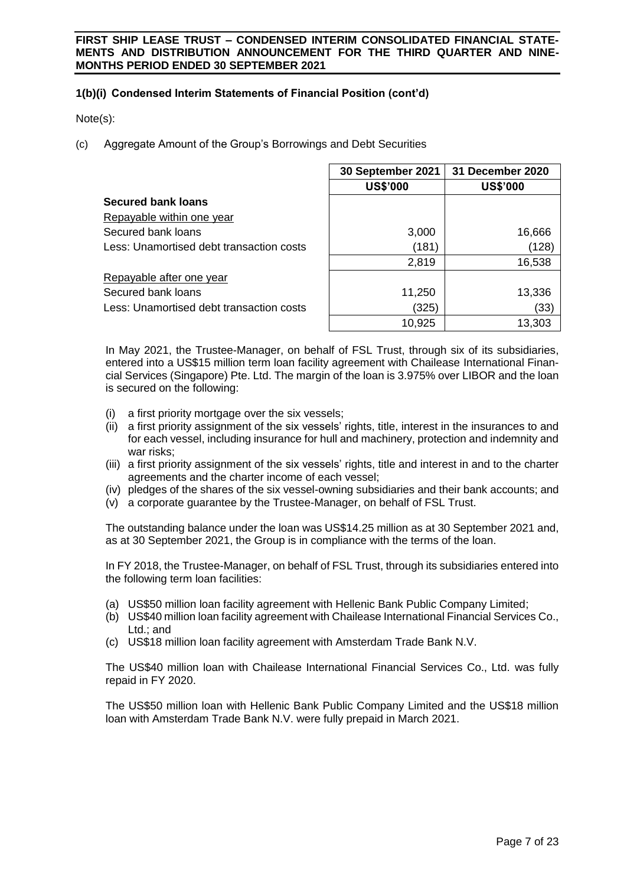# **1(b)(i) Condensed Interim Statements of Financial Position (cont'd)**

Note(s):

(c) Aggregate Amount of the Group's Borrowings and Debt Securities

|                                          | 30 September 2021 | 31 December 2020 |
|------------------------------------------|-------------------|------------------|
|                                          | <b>US\$'000</b>   | <b>US\$'000</b>  |
| <b>Secured bank loans</b>                |                   |                  |
| Repayable within one year                |                   |                  |
| Secured bank loans                       | 3,000             | 16,666           |
| Less: Unamortised debt transaction costs | (181)             | (128)            |
|                                          | 2,819             | 16,538           |
| Repayable after one year                 |                   |                  |
| Secured bank loans                       | 11,250            | 13,336           |
| Less: Unamortised debt transaction costs | (325)             | (33)             |
|                                          | 10,925            | 13,303           |

In May 2021, the Trustee-Manager, on behalf of FSL Trust, through six of its subsidiaries, entered into a US\$15 million term loan facility agreement with Chailease International Financial Services (Singapore) Pte. Ltd. The margin of the loan is 3.975% over LIBOR and the loan is secured on the following:

- a first priority mortgage over the six vessels;
- (ii) a first priority assignment of the six vessels' rights, title, interest in the insurances to and for each vessel, including insurance for hull and machinery, protection and indemnity and war risks;
- (iii) a first priority assignment of the six vessels' rights, title and interest in and to the charter agreements and the charter income of each vessel;
- (iv) pledges of the shares of the six vessel-owning subsidiaries and their bank accounts; and
- (v) a corporate guarantee by the Trustee-Manager, on behalf of FSL Trust.

The outstanding balance under the loan was US\$14.25 million as at 30 September 2021 and, as at 30 September 2021, the Group is in compliance with the terms of the loan.

In FY 2018, the Trustee-Manager, on behalf of FSL Trust, through its subsidiaries entered into the following term loan facilities:

- (a) US\$50 million loan facility agreement with Hellenic Bank Public Company Limited;
- (b) US\$40 million loan facility agreement with Chailease International Financial Services Co., Ltd.; and
- (c) US\$18 million loan facility agreement with Amsterdam Trade Bank N.V.

The US\$40 million loan with Chailease International Financial Services Co., Ltd. was fully repaid in FY 2020.

The US\$50 million loan with Hellenic Bank Public Company Limited and the US\$18 million loan with Amsterdam Trade Bank N.V. were fully prepaid in March 2021.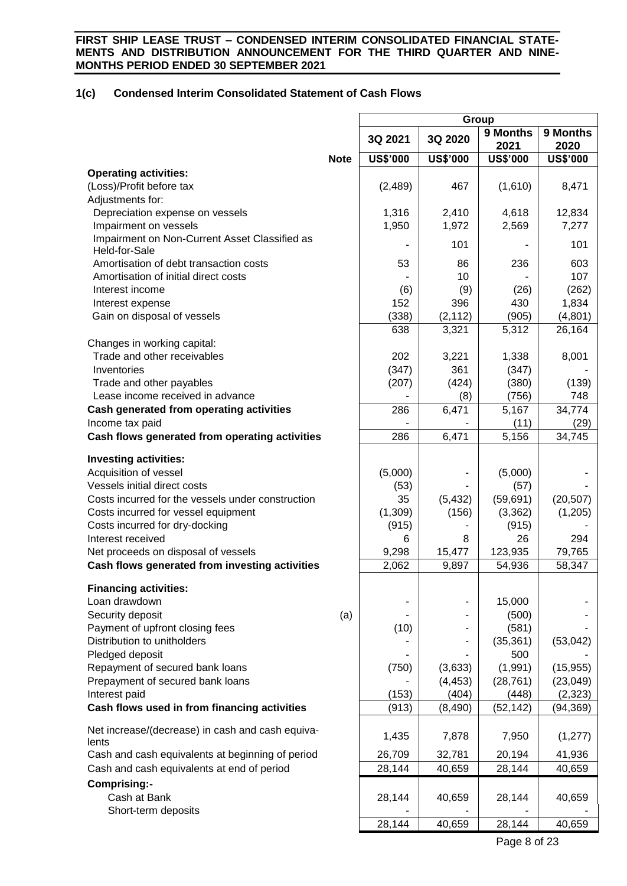# **1(c) Condensed Interim Consolidated Statement of Cash Flows**

| 9 Months<br>9 Months<br>3Q 2021<br>3Q 2020<br>2021<br>2020<br><b>US\$'000</b><br><b>US\$'000</b><br><b>US\$'000</b><br><b>US\$'000</b><br><b>Note</b><br><b>Operating activities:</b><br>(Loss)/Profit before tax<br>(2,489)<br>467<br>(1,610)<br>8,471<br>Adjustments for:<br>Depreciation expense on vessels<br>2,410<br>4,618<br>12,834<br>1,316<br>Impairment on vessels<br>1,950<br>1,972<br>2,569<br>7,277<br>Impairment on Non-Current Asset Classified as<br>101<br>101<br>Held-for-Sale<br>Amortisation of debt transaction costs<br>53<br>86<br>236<br>603<br>10<br>107<br>Amortisation of initial direct costs<br>Interest income<br>(6)<br>(9)<br>(26)<br>(262)<br>396<br>152<br>430<br>1,834<br>Interest expense<br>Gain on disposal of vessels<br>(338)<br>(905)<br>(4,801)<br>(2, 112)<br>638<br>3,321<br>5,312<br>26,164 |
|------------------------------------------------------------------------------------------------------------------------------------------------------------------------------------------------------------------------------------------------------------------------------------------------------------------------------------------------------------------------------------------------------------------------------------------------------------------------------------------------------------------------------------------------------------------------------------------------------------------------------------------------------------------------------------------------------------------------------------------------------------------------------------------------------------------------------------------|
|                                                                                                                                                                                                                                                                                                                                                                                                                                                                                                                                                                                                                                                                                                                                                                                                                                          |
|                                                                                                                                                                                                                                                                                                                                                                                                                                                                                                                                                                                                                                                                                                                                                                                                                                          |
|                                                                                                                                                                                                                                                                                                                                                                                                                                                                                                                                                                                                                                                                                                                                                                                                                                          |
|                                                                                                                                                                                                                                                                                                                                                                                                                                                                                                                                                                                                                                                                                                                                                                                                                                          |
|                                                                                                                                                                                                                                                                                                                                                                                                                                                                                                                                                                                                                                                                                                                                                                                                                                          |
|                                                                                                                                                                                                                                                                                                                                                                                                                                                                                                                                                                                                                                                                                                                                                                                                                                          |
|                                                                                                                                                                                                                                                                                                                                                                                                                                                                                                                                                                                                                                                                                                                                                                                                                                          |
|                                                                                                                                                                                                                                                                                                                                                                                                                                                                                                                                                                                                                                                                                                                                                                                                                                          |
|                                                                                                                                                                                                                                                                                                                                                                                                                                                                                                                                                                                                                                                                                                                                                                                                                                          |
|                                                                                                                                                                                                                                                                                                                                                                                                                                                                                                                                                                                                                                                                                                                                                                                                                                          |
|                                                                                                                                                                                                                                                                                                                                                                                                                                                                                                                                                                                                                                                                                                                                                                                                                                          |
|                                                                                                                                                                                                                                                                                                                                                                                                                                                                                                                                                                                                                                                                                                                                                                                                                                          |
|                                                                                                                                                                                                                                                                                                                                                                                                                                                                                                                                                                                                                                                                                                                                                                                                                                          |
|                                                                                                                                                                                                                                                                                                                                                                                                                                                                                                                                                                                                                                                                                                                                                                                                                                          |
| Changes in working capital:                                                                                                                                                                                                                                                                                                                                                                                                                                                                                                                                                                                                                                                                                                                                                                                                              |
| Trade and other receivables<br>202<br>3,221<br>1,338<br>8,001                                                                                                                                                                                                                                                                                                                                                                                                                                                                                                                                                                                                                                                                                                                                                                            |
| 361<br>Inventories<br>(347)<br>(347)                                                                                                                                                                                                                                                                                                                                                                                                                                                                                                                                                                                                                                                                                                                                                                                                     |
| Trade and other payables<br>(207)<br>(424)<br>(380)<br>(139)                                                                                                                                                                                                                                                                                                                                                                                                                                                                                                                                                                                                                                                                                                                                                                             |
| Lease income received in advance<br>748<br>(756)<br>(8)                                                                                                                                                                                                                                                                                                                                                                                                                                                                                                                                                                                                                                                                                                                                                                                  |
| 6,471<br>5,167<br>Cash generated from operating activities<br>286<br>34,774                                                                                                                                                                                                                                                                                                                                                                                                                                                                                                                                                                                                                                                                                                                                                              |
| Income tax paid<br>(11)<br>(29)<br>Cash flows generated from operating activities<br>286<br>6,471<br>5,156<br>34,745                                                                                                                                                                                                                                                                                                                                                                                                                                                                                                                                                                                                                                                                                                                     |
|                                                                                                                                                                                                                                                                                                                                                                                                                                                                                                                                                                                                                                                                                                                                                                                                                                          |
| <b>Investing activities:</b>                                                                                                                                                                                                                                                                                                                                                                                                                                                                                                                                                                                                                                                                                                                                                                                                             |
| Acquisition of vessel<br>(5,000)<br>(5,000)                                                                                                                                                                                                                                                                                                                                                                                                                                                                                                                                                                                                                                                                                                                                                                                              |
| Vessels initial direct costs<br>(57)<br>(53)                                                                                                                                                                                                                                                                                                                                                                                                                                                                                                                                                                                                                                                                                                                                                                                             |
| Costs incurred for the vessels under construction<br>35<br>(5, 432)<br>(59, 691)<br>(20, 507)                                                                                                                                                                                                                                                                                                                                                                                                                                                                                                                                                                                                                                                                                                                                            |
| (1,309)<br>Costs incurred for vessel equipment<br>(156)<br>(3,362)<br>(1,205)                                                                                                                                                                                                                                                                                                                                                                                                                                                                                                                                                                                                                                                                                                                                                            |
| Costs incurred for dry-docking<br>(915)<br>(915)                                                                                                                                                                                                                                                                                                                                                                                                                                                                                                                                                                                                                                                                                                                                                                                         |
| 8<br>26<br>294<br>Interest received<br>6                                                                                                                                                                                                                                                                                                                                                                                                                                                                                                                                                                                                                                                                                                                                                                                                 |
| Net proceeds on disposal of vessels<br>9,298<br>15,477<br>123,935<br>79,765                                                                                                                                                                                                                                                                                                                                                                                                                                                                                                                                                                                                                                                                                                                                                              |
| Cash flows generated from investing activities<br>2,062<br>9,897<br>54,936<br>58,347                                                                                                                                                                                                                                                                                                                                                                                                                                                                                                                                                                                                                                                                                                                                                     |
| <b>Financing activities:</b>                                                                                                                                                                                                                                                                                                                                                                                                                                                                                                                                                                                                                                                                                                                                                                                                             |
| 15,000<br>Loan drawdown                                                                                                                                                                                                                                                                                                                                                                                                                                                                                                                                                                                                                                                                                                                                                                                                                  |
| Security deposit<br>(a)<br>(500)                                                                                                                                                                                                                                                                                                                                                                                                                                                                                                                                                                                                                                                                                                                                                                                                         |
| Payment of upfront closing fees<br>(581)<br>(10)                                                                                                                                                                                                                                                                                                                                                                                                                                                                                                                                                                                                                                                                                                                                                                                         |
| Distribution to unitholders<br>(35, 361)<br>(53,042)                                                                                                                                                                                                                                                                                                                                                                                                                                                                                                                                                                                                                                                                                                                                                                                     |
| Pledged deposit<br>500                                                                                                                                                                                                                                                                                                                                                                                                                                                                                                                                                                                                                                                                                                                                                                                                                   |
| (1,991)<br>Repayment of secured bank loans<br>(750)<br>(3,633)<br>(15, 955)                                                                                                                                                                                                                                                                                                                                                                                                                                                                                                                                                                                                                                                                                                                                                              |
| Prepayment of secured bank loans<br>(4, 453)<br>(28, 761)<br>(23, 049)                                                                                                                                                                                                                                                                                                                                                                                                                                                                                                                                                                                                                                                                                                                                                                   |
| Interest paid<br>(153)<br>(404)<br>(2, 323)<br>(448)                                                                                                                                                                                                                                                                                                                                                                                                                                                                                                                                                                                                                                                                                                                                                                                     |
| Cash flows used in from financing activities<br>(913)<br>(8,490)<br>(52, 142)<br>(94, 369)                                                                                                                                                                                                                                                                                                                                                                                                                                                                                                                                                                                                                                                                                                                                               |
| Net increase/(decrease) in cash and cash equiva-                                                                                                                                                                                                                                                                                                                                                                                                                                                                                                                                                                                                                                                                                                                                                                                         |
| 1,435<br>7,878<br>7,950<br>(1, 277)<br>lents                                                                                                                                                                                                                                                                                                                                                                                                                                                                                                                                                                                                                                                                                                                                                                                             |
| 26,709<br>Cash and cash equivalents at beginning of period<br>32,781<br>20,194<br>41,936                                                                                                                                                                                                                                                                                                                                                                                                                                                                                                                                                                                                                                                                                                                                                 |
| Cash and cash equivalents at end of period<br>28,144<br>40,659<br>28,144<br>40,659                                                                                                                                                                                                                                                                                                                                                                                                                                                                                                                                                                                                                                                                                                                                                       |
| Comprising:-                                                                                                                                                                                                                                                                                                                                                                                                                                                                                                                                                                                                                                                                                                                                                                                                                             |
| Cash at Bank<br>28,144<br>28,144<br>40,659<br>40,659                                                                                                                                                                                                                                                                                                                                                                                                                                                                                                                                                                                                                                                                                                                                                                                     |
| Short-term deposits                                                                                                                                                                                                                                                                                                                                                                                                                                                                                                                                                                                                                                                                                                                                                                                                                      |
| 28,144<br>28,144<br>40,659<br>40,659                                                                                                                                                                                                                                                                                                                                                                                                                                                                                                                                                                                                                                                                                                                                                                                                     |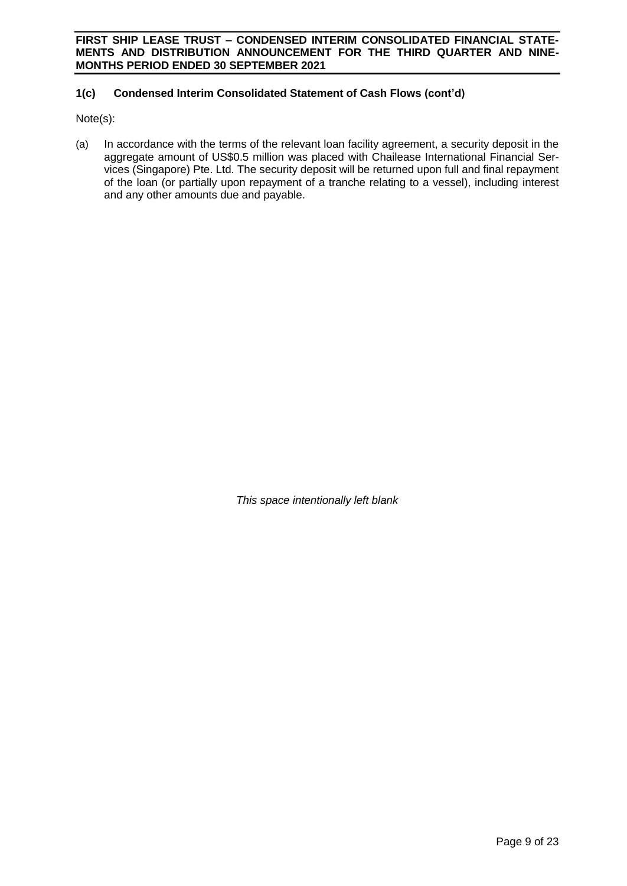# **1(c) Condensed Interim Consolidated Statement of Cash Flows (cont'd)**

Note(s):

(a) In accordance with the terms of the relevant loan facility agreement, a security deposit in the aggregate amount of US\$0.5 million was placed with Chailease International Financial Services (Singapore) Pte. Ltd. The security deposit will be returned upon full and final repayment of the loan (or partially upon repayment of a tranche relating to a vessel), including interest and any other amounts due and payable.

*This space intentionally left blank*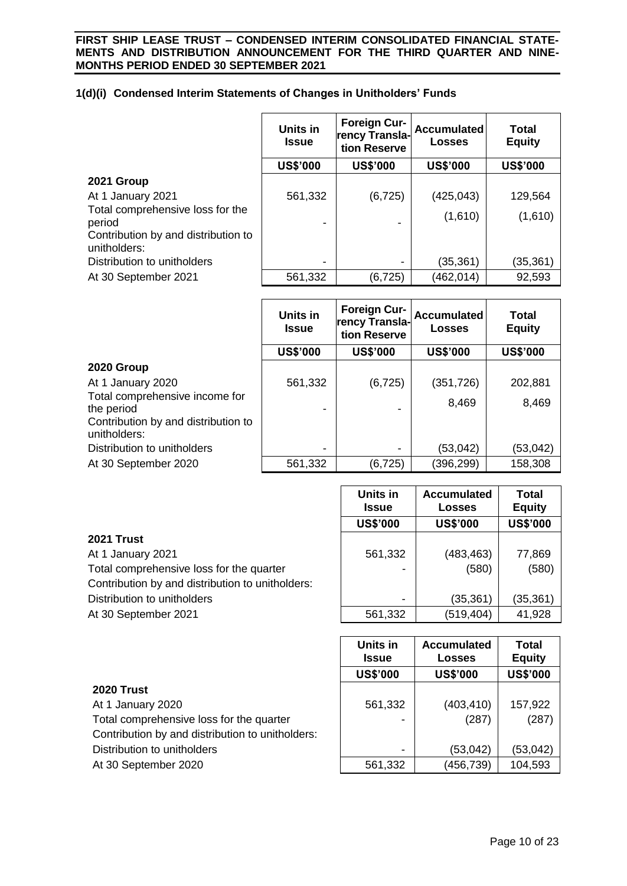# **1(d)(i) Condensed Interim Statements of Changes in Unitholders' Funds**

|                                                     | <b>Units in</b><br>Issue | <b>Foreign Cur-</b><br>rency Transla-<br>tion Reserve | <b>Accumulated</b><br><b>Losses</b> | <b>Total</b><br><b>Equity</b> |
|-----------------------------------------------------|--------------------------|-------------------------------------------------------|-------------------------------------|-------------------------------|
|                                                     | <b>US\$'000</b>          | <b>US\$'000</b>                                       | <b>US\$'000</b>                     | <b>US\$'000</b>               |
| 2021 Group                                          |                          |                                                       |                                     |                               |
| At 1 January 2021                                   | 561,332                  | (6, 725)                                              | (425, 043)                          | 129,564                       |
| Total comprehensive loss for the<br>period          |                          |                                                       | (1,610)                             | (1,610)                       |
| Contribution by and distribution to<br>unitholders: |                          |                                                       |                                     |                               |
| Distribution to unitholders                         |                          |                                                       | (35,361)                            | (35,361)                      |
| At 30 September 2021                                | 561,332                  | (6, 725)                                              | (462,014)                           | 92,593                        |

|                                                     | Units in<br><b>Issue</b> | <b>Foreign Cur-</b><br>rency Transla-<br>tion Reserve | <b>Accumulated</b><br>Losses | <b>Total</b><br><b>Equity</b> |
|-----------------------------------------------------|--------------------------|-------------------------------------------------------|------------------------------|-------------------------------|
|                                                     | <b>US\$'000</b>          | <b>US\$'000</b>                                       | <b>US\$'000</b>              | <b>US\$'000</b>               |
| 2020 Group                                          |                          |                                                       |                              |                               |
| At 1 January 2020                                   | 561,332                  | (6, 725)                                              | (351, 726)                   | 202,881                       |
| Total comprehensive income for<br>the period        |                          |                                                       | 8,469                        | 8,469                         |
| Contribution by and distribution to<br>unitholders: |                          |                                                       |                              |                               |
| Distribution to unitholders                         | $\overline{\phantom{0}}$ | $\blacksquare$                                        | (53,042)                     | (53,042)                      |
| At 30 September 2020                                | 561,332                  | (6, 725)                                              | (396,299)                    | 158,308                       |

|                                                  | Units in<br><b>Issue</b> | <b>Accumulated</b><br><b>Losses</b> | Total<br><b>Equity</b> |
|--------------------------------------------------|--------------------------|-------------------------------------|------------------------|
|                                                  | <b>US\$'000</b>          | <b>US\$'000</b>                     | <b>US\$'000</b>        |
| <b>2021 Trust</b>                                |                          |                                     |                        |
| At 1 January 2021                                | 561,332                  | (483, 463)                          | 77,869                 |
| Total comprehensive loss for the quarter         |                          | (580)                               | (580)                  |
| Contribution by and distribution to unitholders: |                          |                                     |                        |
| Distribution to unitholders                      | $\overline{\phantom{0}}$ | (35,361)                            | (35, 361)              |
| At 30 September 2021                             | 561,332                  | (519, 404)                          | 41,928                 |

|                                                  | <b>Units in</b><br><b>Issue</b> | <b>Accumulated</b><br>Losses | Total<br><b>Equity</b> |
|--------------------------------------------------|---------------------------------|------------------------------|------------------------|
|                                                  | <b>US\$'000</b>                 | <b>US\$'000</b>              | <b>US\$'000</b>        |
| <b>2020 Trust</b>                                |                                 |                              |                        |
| At 1 January 2020                                | 561,332                         | (403, 410)                   | 157,922                |
| Total comprehensive loss for the quarter         |                                 | (287)                        | (287)                  |
| Contribution by and distribution to unitholders: |                                 |                              |                        |
| Distribution to unitholders                      | -                               | (53,042)                     | (53, 042)              |
| At 30 September 2020                             | 561,332                         | (456,739)                    | 104,593                |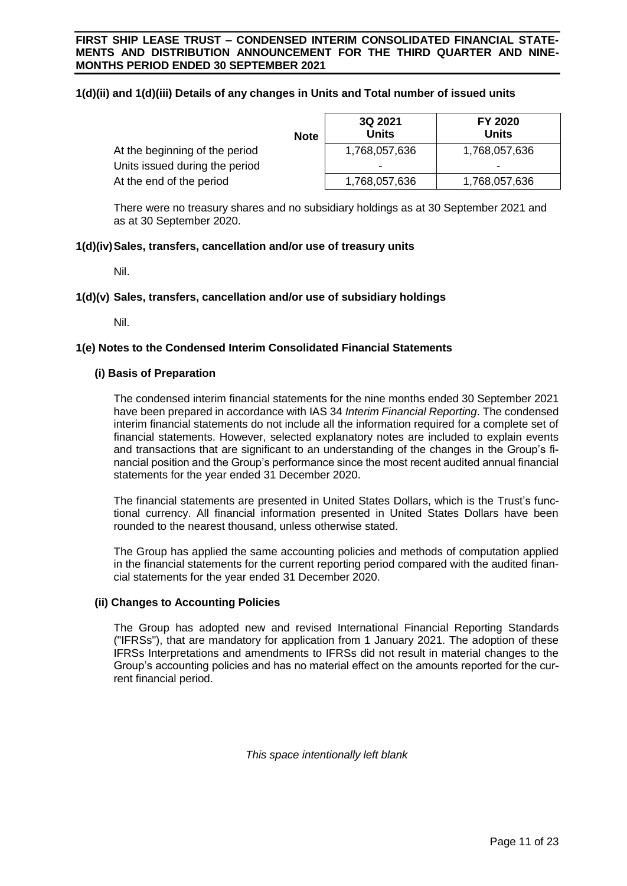# **1(d)(ii) and 1(d)(iii) Details of any changes in Units and Total number of issued units**

|                                | <b>Note</b> | 3Q 2021<br>Units | FY 2020<br>Units |
|--------------------------------|-------------|------------------|------------------|
| At the beginning of the period |             | 1,768,057,636    | 1,768,057,636    |
| Units issued during the period |             |                  | -                |
| At the end of the period       |             | 1,768,057,636    | 1,768,057,636    |

There were no treasury shares and no subsidiary holdings as at 30 September 2021 and as at 30 September 2020.

# **1(d)(iv)Sales, transfers, cancellation and/or use of treasury units**

Nil.

### **1(d)(v) Sales, transfers, cancellation and/or use of subsidiary holdings**

Nil.

### **1(e) Notes to the Condensed Interim Consolidated Financial Statements**

### **(i) Basis of Preparation**

The condensed interim financial statements for the nine months ended 30 September 2021 have been prepared in accordance with IAS 34 *Interim Financial Reporting*. The condensed interim financial statements do not include all the information required for a complete set of financial statements. However, selected explanatory notes are included to explain events and transactions that are significant to an understanding of the changes in the Group's financial position and the Group's performance since the most recent audited annual financial statements for the year ended 31 December 2020.

The financial statements are presented in United States Dollars, which is the Trust's functional currency. All financial information presented in United States Dollars have been rounded to the nearest thousand, unless otherwise stated.

The Group has applied the same accounting policies and methods of computation applied in the financial statements for the current reporting period compared with the audited financial statements for the year ended 31 December 2020.

#### **(ii) Changes to Accounting Policies**

The Group has adopted new and revised International Financial Reporting Standards ("IFRSs"), that are mandatory for application from 1 January 2021. The adoption of these IFRSs Interpretations and amendments to IFRSs did not result in material changes to the Group's accounting policies and has no material effect on the amounts reported for the current financial period.

*This space intentionally left blank*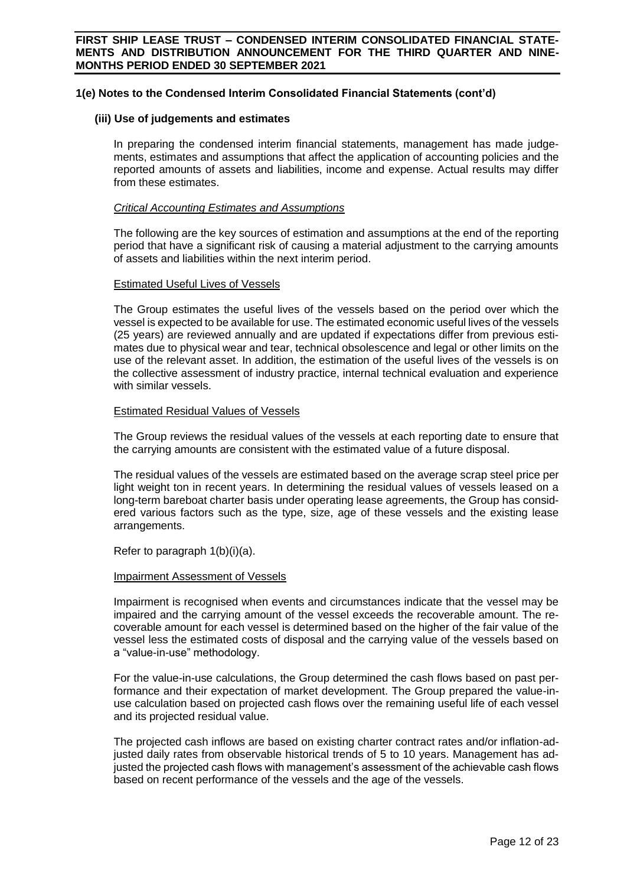#### **(iii) Use of judgements and estimates**

In preparing the condensed interim financial statements, management has made judgements, estimates and assumptions that affect the application of accounting policies and the reported amounts of assets and liabilities, income and expense. Actual results may differ from these estimates.

#### *Critical Accounting Estimates and Assumptions*

The following are the key sources of estimation and assumptions at the end of the reporting period that have a significant risk of causing a material adjustment to the carrying amounts of assets and liabilities within the next interim period.

#### Estimated Useful Lives of Vessels

The Group estimates the useful lives of the vessels based on the period over which the vessel is expected to be available for use. The estimated economic useful lives of the vessels (25 years) are reviewed annually and are updated if expectations differ from previous estimates due to physical wear and tear, technical obsolescence and legal or other limits on the use of the relevant asset. In addition, the estimation of the useful lives of the vessels is on the collective assessment of industry practice, internal technical evaluation and experience with similar vessels.

### Estimated Residual Values of Vessels

The Group reviews the residual values of the vessels at each reporting date to ensure that the carrying amounts are consistent with the estimated value of a future disposal.

The residual values of the vessels are estimated based on the average scrap steel price per light weight ton in recent years. In determining the residual values of vessels leased on a long-term bareboat charter basis under operating lease agreements, the Group has considered various factors such as the type, size, age of these vessels and the existing lease arrangements.

Refer to paragraph 1(b)(i)(a).

# Impairment Assessment of Vessels

Impairment is recognised when events and circumstances indicate that the vessel may be impaired and the carrying amount of the vessel exceeds the recoverable amount. The recoverable amount for each vessel is determined based on the higher of the fair value of the vessel less the estimated costs of disposal and the carrying value of the vessels based on a "value-in-use" methodology.

For the value-in-use calculations, the Group determined the cash flows based on past performance and their expectation of market development. The Group prepared the value-inuse calculation based on projected cash flows over the remaining useful life of each vessel and its projected residual value.

The projected cash inflows are based on existing charter contract rates and/or inflation-adjusted daily rates from observable historical trends of 5 to 10 years. Management has adjusted the projected cash flows with management's assessment of the achievable cash flows based on recent performance of the vessels and the age of the vessels.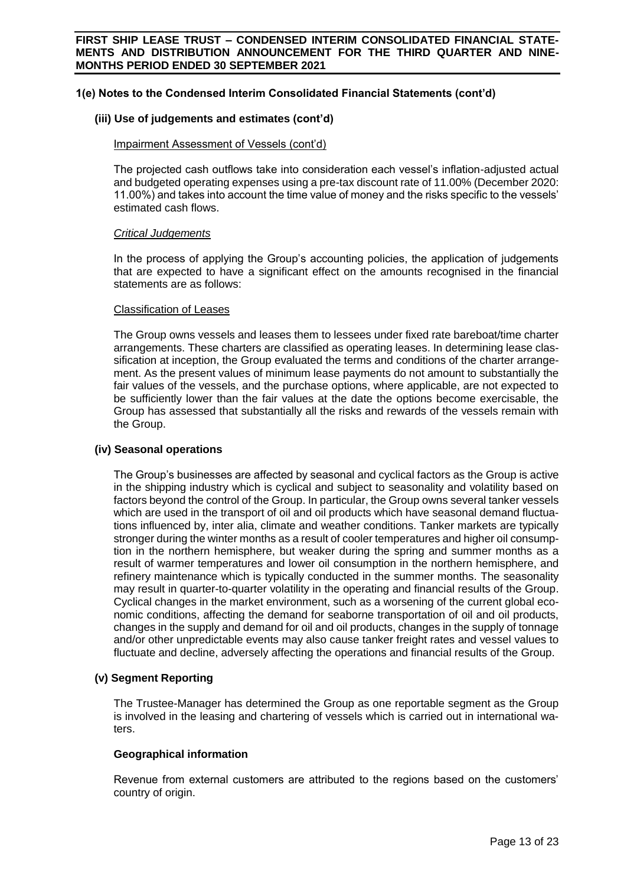#### **(iii) Use of judgements and estimates (cont'd)**

#### Impairment Assessment of Vessels (cont'd)

The projected cash outflows take into consideration each vessel's inflation-adjusted actual and budgeted operating expenses using a pre-tax discount rate of 11.00% (December 2020: 11.00%) and takes into account the time value of money and the risks specific to the vessels' estimated cash flows.

### *Critical Judgements*

In the process of applying the Group's accounting policies, the application of judgements that are expected to have a significant effect on the amounts recognised in the financial statements are as follows:

#### Classification of Leases

The Group owns vessels and leases them to lessees under fixed rate bareboat/time charter arrangements. These charters are classified as operating leases. In determining lease classification at inception, the Group evaluated the terms and conditions of the charter arrangement. As the present values of minimum lease payments do not amount to substantially the fair values of the vessels, and the purchase options, where applicable, are not expected to be sufficiently lower than the fair values at the date the options become exercisable, the Group has assessed that substantially all the risks and rewards of the vessels remain with the Group.

#### **(iv) Seasonal operations**

The Group's businesses are affected by seasonal and cyclical factors as the Group is active in the shipping industry which is cyclical and subject to seasonality and volatility based on factors beyond the control of the Group. In particular, the Group owns several tanker vessels which are used in the transport of oil and oil products which have seasonal demand fluctuations influenced by, inter alia, climate and weather conditions. Tanker markets are typically stronger during the winter months as a result of cooler temperatures and higher oil consumption in the northern hemisphere, but weaker during the spring and summer months as a result of warmer temperatures and lower oil consumption in the northern hemisphere, and refinery maintenance which is typically conducted in the summer months. The seasonality may result in quarter-to-quarter volatility in the operating and financial results of the Group. Cyclical changes in the market environment, such as a worsening of the current global economic conditions, affecting the demand for seaborne transportation of oil and oil products, changes in the supply and demand for oil and oil products, changes in the supply of tonnage and/or other unpredictable events may also cause tanker freight rates and vessel values to fluctuate and decline, adversely affecting the operations and financial results of the Group.

#### **(v) Segment Reporting**

The Trustee-Manager has determined the Group as one reportable segment as the Group is involved in the leasing and chartering of vessels which is carried out in international waters.

#### **Geographical information**

Revenue from external customers are attributed to the regions based on the customers' country of origin.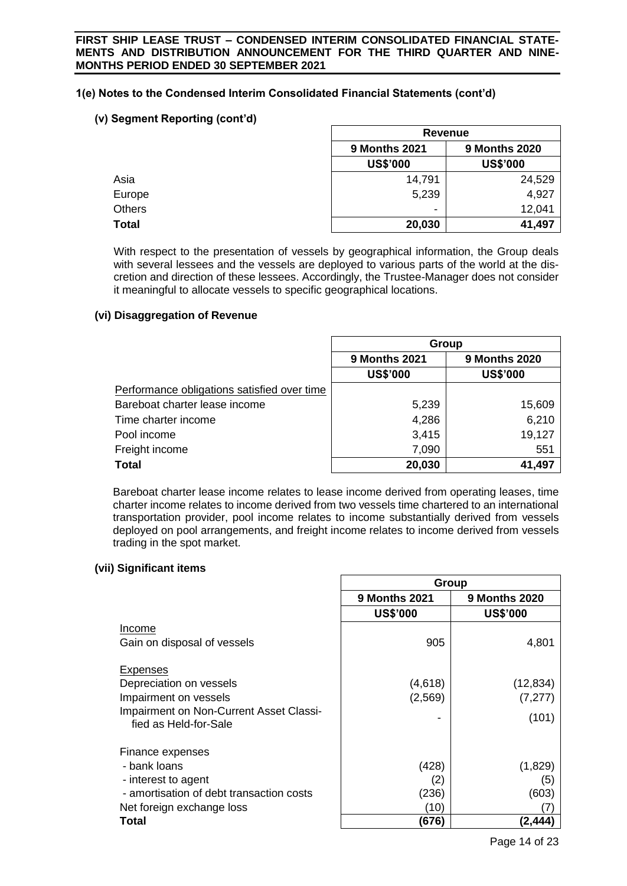# **(v) Segment Reporting (cont'd)**

|               |                      | Revenue              |  |
|---------------|----------------------|----------------------|--|
|               | <b>9 Months 2021</b> | <b>9 Months 2020</b> |  |
|               | <b>US\$'000</b>      | <b>US\$'000</b>      |  |
| Asia          | 14,791               | 24,529               |  |
| Europe        | 5,239                | 4,927                |  |
| <b>Others</b> | ۰                    | 12,041               |  |
| <b>Total</b>  | 20,030               | 41,497               |  |

With respect to the presentation of vessels by geographical information, the Group deals with several lessees and the vessels are deployed to various parts of the world at the discretion and direction of these lessees. Accordingly, the Trustee-Manager does not consider it meaningful to allocate vessels to specific geographical locations.

# **(vi) Disaggregation of Revenue**

|                                             | Group                                        |                 |
|---------------------------------------------|----------------------------------------------|-----------------|
|                                             | <b>9 Months 2021</b><br><b>9 Months 2020</b> |                 |
|                                             | <b>US\$'000</b>                              | <b>US\$'000</b> |
| Performance obligations satisfied over time |                                              |                 |
| Bareboat charter lease income               | 5,239                                        | 15,609          |
| Time charter income                         | 4,286                                        | 6,210           |
| Pool income                                 | 3,415                                        | 19,127          |
| Freight income                              | 7,090                                        | 551             |
| <b>Total</b>                                | 20,030                                       | 41,497          |

Bareboat charter lease income relates to lease income derived from operating leases, time charter income relates to income derived from two vessels time chartered to an international transportation provider, pool income relates to income substantially derived from vessels deployed on pool arrangements, and freight income relates to income derived from vessels trading in the spot market.

# **(vii) Significant items**

|                                          | Group                |                      |  |
|------------------------------------------|----------------------|----------------------|--|
|                                          | <b>9 Months 2021</b> | <b>9 Months 2020</b> |  |
|                                          | <b>US\$'000</b>      | <b>US\$'000</b>      |  |
| Income                                   |                      |                      |  |
| Gain on disposal of vessels              | 905                  | 4,801                |  |
|                                          |                      |                      |  |
| Expenses                                 |                      |                      |  |
| Depreciation on vessels                  | (4,618)              | (12, 834)            |  |
| Impairment on vessels                    | (2, 569)             | (7, 277)             |  |
| Impairment on Non-Current Asset Classi-  |                      | (101)                |  |
| fied as Held-for-Sale                    |                      |                      |  |
|                                          |                      |                      |  |
| Finance expenses                         |                      |                      |  |
| - bank loans                             | (428)                | (1,829)              |  |
| - interest to agent                      | (2)                  | (5)                  |  |
| - amortisation of debt transaction costs | (236)                | (603)                |  |
| Net foreign exchange loss                | (10)                 |                      |  |
| Total                                    | (676)                | (2,444)              |  |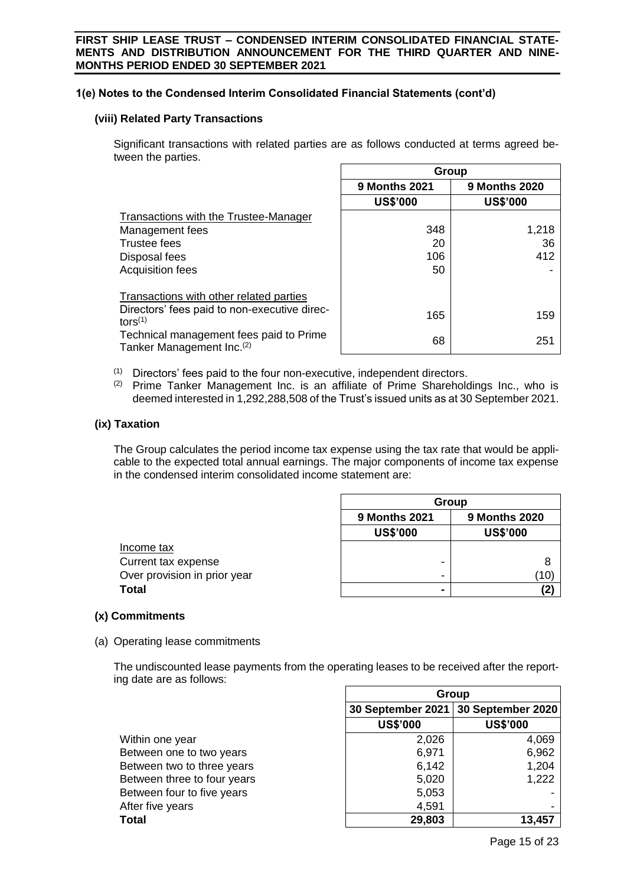# **(viii) Related Party Transactions**

Significant transactions with related parties are as follows conducted at terms agreed between the parties.  $\overline{\phantom{a}}$  $\Gamma$ 

|                                                                                  | Group                                        |                 |  |
|----------------------------------------------------------------------------------|----------------------------------------------|-----------------|--|
|                                                                                  | <b>9 Months 2021</b><br><b>9 Months 2020</b> |                 |  |
|                                                                                  | <b>US\$'000</b>                              | <b>US\$'000</b> |  |
| Transactions with the Trustee-Manager                                            |                                              |                 |  |
| Management fees                                                                  | 348                                          | 1,218           |  |
| <b>Trustee fees</b>                                                              | 20                                           | 36              |  |
| Disposal fees                                                                    | 106                                          | 412             |  |
| <b>Acquisition fees</b>                                                          | 50                                           |                 |  |
| Transactions with other related parties                                          |                                              |                 |  |
| Directors' fees paid to non-executive direc-<br>tors $^{(1)}$                    | 165                                          | 159             |  |
| Technical management fees paid to Prime<br>Tanker Management Inc. <sup>(2)</sup> | 68                                           | 251             |  |

(1) Directors' fees paid to the four non-executive, independent directors.<br>(2) Prime Tanker Management Inc. is an affiliate of Prime Sharehold

Prime Tanker Management Inc. is an affiliate of Prime Shareholdings Inc., who is deemed interested in 1,292,288,508 of the Trust's issued units as at 30 September 2021.

# **(ix) Taxation**

The Group calculates the period income tax expense using the tax rate that would be applicable to the expected total annual earnings. The major components of income tax expense in the condensed interim consolidated income statement are:

|                              | Group                |                      |  |
|------------------------------|----------------------|----------------------|--|
|                              | <b>9 Months 2021</b> | <b>9 Months 2020</b> |  |
|                              | <b>US\$'000</b>      | <b>US\$'000</b>      |  |
| Income tax                   |                      |                      |  |
| Current tax expense          | -                    |                      |  |
| Over provision in prior year | -                    | (10)                 |  |
| <b>Total</b>                 |                      |                      |  |

# **(x) Commitments**

(a) Operating lease commitments

The undiscounted lease payments from the operating leases to be received after the reporting date are as follows:  $\overline{\Gamma}$  $\overline{\phantom{a}}$ 

|                             | Group             |                   |  |
|-----------------------------|-------------------|-------------------|--|
|                             | 30 September 2021 | 30 September 2020 |  |
|                             | <b>US\$'000</b>   | <b>US\$'000</b>   |  |
| Within one year             | 2,026             | 4,069             |  |
| Between one to two years    | 6,971             | 6,962             |  |
| Between two to three years  | 6,142             | 1,204             |  |
| Between three to four years | 5,020             | 1,222             |  |
| Between four to five years  | 5,053             |                   |  |
| After five years            | 4,591             |                   |  |
| <b>Total</b>                | 29,803            | 13.457            |  |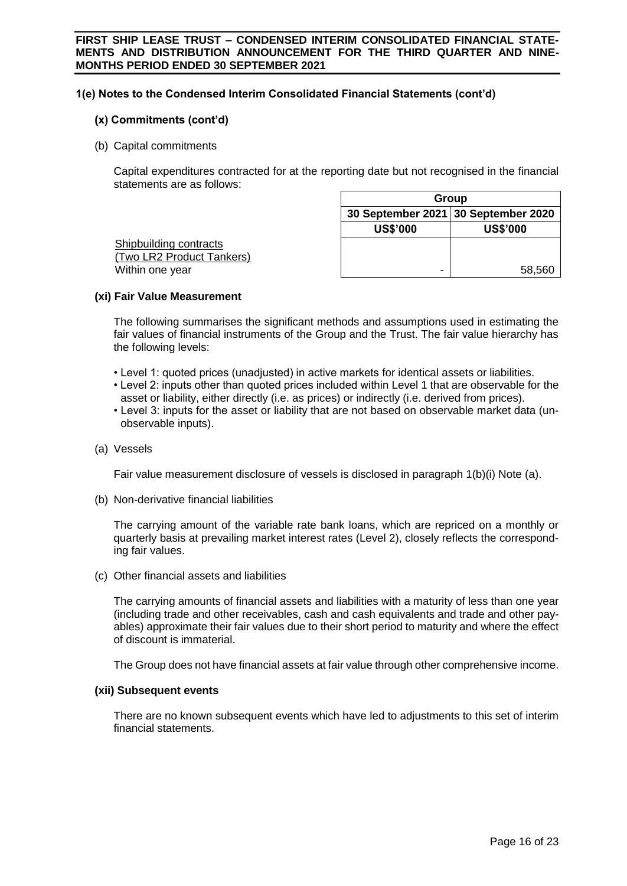# **(x) Commitments (cont'd)**

(b) Capital commitments

Capital expenditures contracted for at the reporting date but not recognised in the financial statements are as follows:

| Group                               |                 |  |
|-------------------------------------|-----------------|--|
| 30 September 2021 30 September 2020 |                 |  |
| <b>US\$'000</b>                     | <b>US\$'000</b> |  |
|                                     |                 |  |
|                                     |                 |  |
| -                                   | 58,560          |  |
|                                     |                 |  |

### **(xi) Fair Value Measurement**

The following summarises the significant methods and assumptions used in estimating the fair values of financial instruments of the Group and the Trust. The fair value hierarchy has the following levels:

- Level 1: quoted prices (unadjusted) in active markets for identical assets or liabilities.
- Level 2: inputs other than quoted prices included within Level 1 that are observable for the asset or liability, either directly (i.e. as prices) or indirectly (i.e. derived from prices).
- Level 3: inputs for the asset or liability that are not based on observable market data (unobservable inputs).
- (a) Vessels

Fair value measurement disclosure of vessels is disclosed in paragraph 1(b)(i) Note (a).

(b) Non-derivative financial liabilities

The carrying amount of the variable rate bank loans, which are repriced on a monthly or quarterly basis at prevailing market interest rates (Level 2), closely reflects the corresponding fair values.

(c) Other financial assets and liabilities

The carrying amounts of financial assets and liabilities with a maturity of less than one year (including trade and other receivables, cash and cash equivalents and trade and other payables) approximate their fair values due to their short period to maturity and where the effect of discount is immaterial.

The Group does not have financial assets at fair value through other comprehensive income.

# **(xii) Subsequent events**

There are no known subsequent events which have led to adjustments to this set of interim financial statements.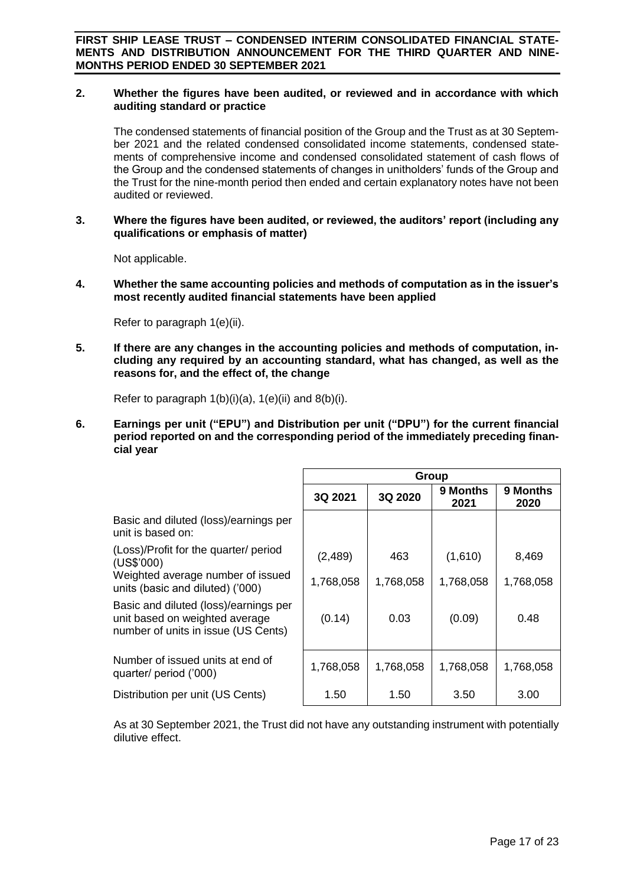### **2. Whether the figures have been audited, or reviewed and in accordance with which auditing standard or practice**

The condensed statements of financial position of the Group and the Trust as at 30 September 2021 and the related condensed consolidated income statements, condensed statements of comprehensive income and condensed consolidated statement of cash flows of the Group and the condensed statements of changes in unitholders' funds of the Group and the Trust for the nine-month period then ended and certain explanatory notes have not been audited or reviewed.

### **3. Where the figures have been audited, or reviewed, the auditors' report (including any qualifications or emphasis of matter)**

Not applicable.

**4. Whether the same accounting policies and methods of computation as in the issuer's most recently audited financial statements have been applied**

Refer to paragraph 1(e)(ii).

**5. If there are any changes in the accounting policies and methods of computation, including any required by an accounting standard, what has changed, as well as the reasons for, and the effect of, the change**

Refer to paragraph  $1(b)(i)(a)$ ,  $1(e)(ii)$  and  $8(b)(i)$ .

**6. Earnings per unit ("EPU") and Distribution per unit ("DPU") for the current financial period reported on and the corresponding period of the immediately preceding financial year**

|                                                                                                                | Group     |           |                  |                  |
|----------------------------------------------------------------------------------------------------------------|-----------|-----------|------------------|------------------|
|                                                                                                                | 3Q 2021   | 3Q 2020   | 9 Months<br>2021 | 9 Months<br>2020 |
| Basic and diluted (loss)/earnings per<br>unit is based on:                                                     |           |           |                  |                  |
| (Loss)/Profit for the quarter/ period<br>(US\$'000)                                                            | (2,489)   | 463       | (1,610)          | 8,469            |
| Weighted average number of issued<br>units (basic and diluted) ('000)                                          | 1,768,058 | 1,768,058 | 1,768,058        | 1,768,058        |
| Basic and diluted (loss)/earnings per<br>unit based on weighted average<br>number of units in issue (US Cents) | (0.14)    | 0.03      | (0.09)           | 0.48             |
| Number of issued units at end of<br>quarter/ period ('000)                                                     | 1,768,058 | 1,768,058 | 1,768,058        | 1,768,058        |
| Distribution per unit (US Cents)                                                                               | 1.50      | 1.50      | 3.50             | 3.00             |

As at 30 September 2021, the Trust did not have any outstanding instrument with potentially dilutive effect.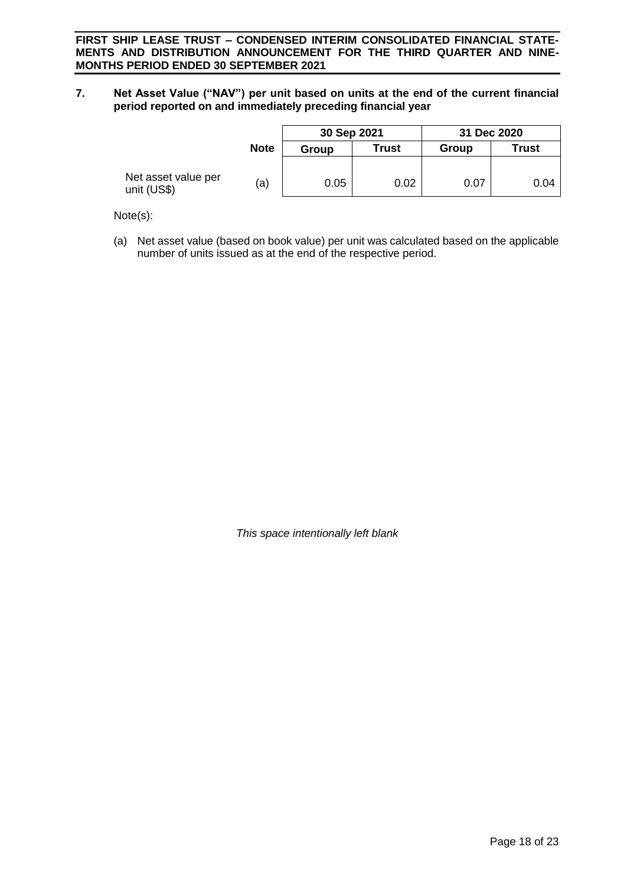**7. Net Asset Value ("NAV") per unit based on units at the end of the current financial period reported on and immediately preceding financial year**

|                                    |             | 30 Sep 2021 |              | 31 Dec 2020 |              |
|------------------------------------|-------------|-------------|--------------|-------------|--------------|
|                                    | <b>Note</b> | Group       | <b>Trust</b> | Group       | <b>Trust</b> |
| Net asset value per<br>unit (US\$) | (a)         | 0.05        | 0.02         | 0.07        | 0.04         |

Note(s):

(a) Net asset value (based on book value) per unit was calculated based on the applicable number of units issued as at the end of the respective period.

*This space intentionally left blank*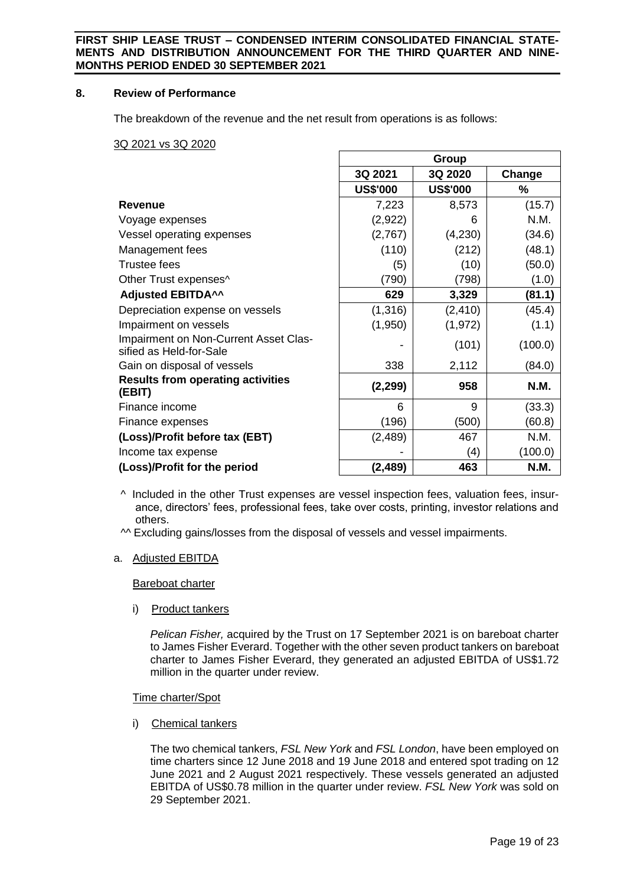### **8. Review of Performance**

The breakdown of the revenue and the net result from operations is as follows:

3Q 2021 vs 3Q 2020

|                                                                  | Group           |                 |             |
|------------------------------------------------------------------|-----------------|-----------------|-------------|
|                                                                  | 3Q 2021         | 3Q 2020         | Change      |
|                                                                  | <b>US\$'000</b> | <b>US\$'000</b> | $\%$        |
| <b>Revenue</b>                                                   | 7,223           | 8,573           | (15.7)      |
| Voyage expenses                                                  | (2,922)         | 6               | N.M.        |
| Vessel operating expenses                                        | (2,767)         | (4,230)         | (34.6)      |
| Management fees                                                  | (110)           | (212)           | (48.1)      |
| <b>Trustee fees</b>                                              | (5)             | (10)            | (50.0)      |
| Other Trust expenses^                                            | (790)           | (798)           | (1.0)       |
| <b>Adjusted EBITDA^^</b>                                         | 629             | 3,329           | (81.1)      |
| Depreciation expense on vessels                                  | (1,316)         | (2, 410)        | (45.4)      |
| Impairment on vessels                                            | (1,950)         | (1, 972)        | (1.1)       |
| Impairment on Non-Current Asset Clas-<br>sified as Held-for-Sale |                 | (101)           | (100.0)     |
| Gain on disposal of vessels                                      | 338             | 2,112           | (84.0)      |
| <b>Results from operating activities</b><br>(EBIT)               | (2, 299)        | 958             | <b>N.M.</b> |
| Finance income                                                   | 6               | 9               | (33.3)      |
| Finance expenses                                                 | (196)           | (500)           | (60.8)      |
| (Loss)/Profit before tax (EBT)                                   | (2, 489)        | 467             | N.M.        |
| Income tax expense                                               |                 | (4)             | (100.0)     |
| (Loss)/Profit for the period                                     | (2, 489)        | 463             | N.M.        |

^ Included in the other Trust expenses are vessel inspection fees, valuation fees, insurance, directors' fees, professional fees, take over costs, printing, investor relations and others.

^^ Excluding gains/losses from the disposal of vessels and vessel impairments.

# a. Adjusted EBITDA

Bareboat charter

i) Product tankers

*Pelican Fisher,* acquired by the Trust on 17 September 2021 is on bareboat charter to James Fisher Everard. Together with the other seven product tankers on bareboat charter to James Fisher Everard, they generated an adjusted EBITDA of US\$1.72 million in the quarter under review.

# Time charter/Spot

i) Chemical tankers

The two chemical tankers, *FSL New York* and *FSL London*, have been employed on time charters since 12 June 2018 and 19 June 2018 and entered spot trading on 12 June 2021 and 2 August 2021 respectively. These vessels generated an adjusted EBITDA of US\$0.78 million in the quarter under review. *FSL New York* was sold on 29 September 2021.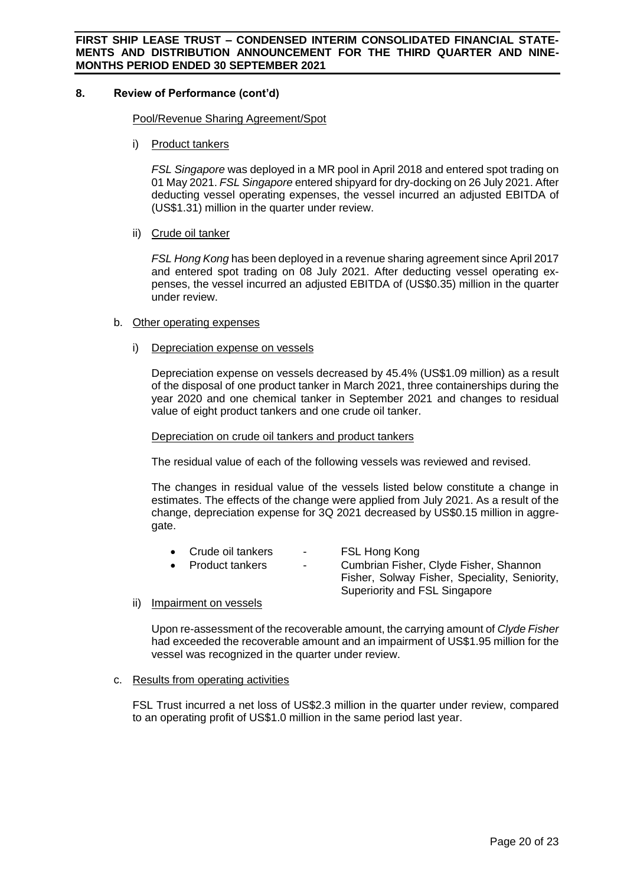# **8. Review of Performance (cont'd)**

### Pool/Revenue Sharing Agreement/Spot

i) Product tankers

*FSL Singapore* was deployed in a MR pool in April 2018 and entered spot trading on 01 May 2021. *FSL Singapore* entered shipyard for dry-docking on 26 July 2021. After deducting vessel operating expenses, the vessel incurred an adjusted EBITDA of (US\$1.31) million in the quarter under review.

ii) Crude oil tanker

*FSL Hong Kong* has been deployed in a revenue sharing agreement since April 2017 and entered spot trading on 08 July 2021. After deducting vessel operating expenses, the vessel incurred an adjusted EBITDA of (US\$0.35) million in the quarter under review.

### b. Other operating expenses

i) Depreciation expense on vessels

Depreciation expense on vessels decreased by 45.4% (US\$1.09 million) as a result of the disposal of one product tanker in March 2021, three containerships during the year 2020 and one chemical tanker in September 2021 and changes to residual value of eight product tankers and one crude oil tanker.

#### Depreciation on crude oil tankers and product tankers

The residual value of each of the following vessels was reviewed and revised.

The changes in residual value of the vessels listed below constitute a change in estimates. The effects of the change were applied from July 2021. As a result of the change, depreciation expense for 3Q 2021 decreased by US\$0.15 million in aggregate.

| • Crude oil tankers | $\sim$ 100 $\mu$ | FSL Hong Kong                                 |
|---------------------|------------------|-----------------------------------------------|
| • Product tankers   | $\sim$           | Cumbrian Fisher, Clyde Fisher, Shannon        |
|                     |                  | Fisher, Solway Fisher, Speciality, Seniority, |
|                     |                  | Superiority and FSL Singapore                 |
|                     |                  |                                               |

ii) Impairment on vessels

Upon re-assessment of the recoverable amount, the carrying amount of *Clyde Fisher*  had exceeded the recoverable amount and an impairment of US\$1.95 million for the vessel was recognized in the quarter under review.

# c. Results from operating activities

FSL Trust incurred a net loss of US\$2.3 million in the quarter under review, compared to an operating profit of US\$1.0 million in the same period last year.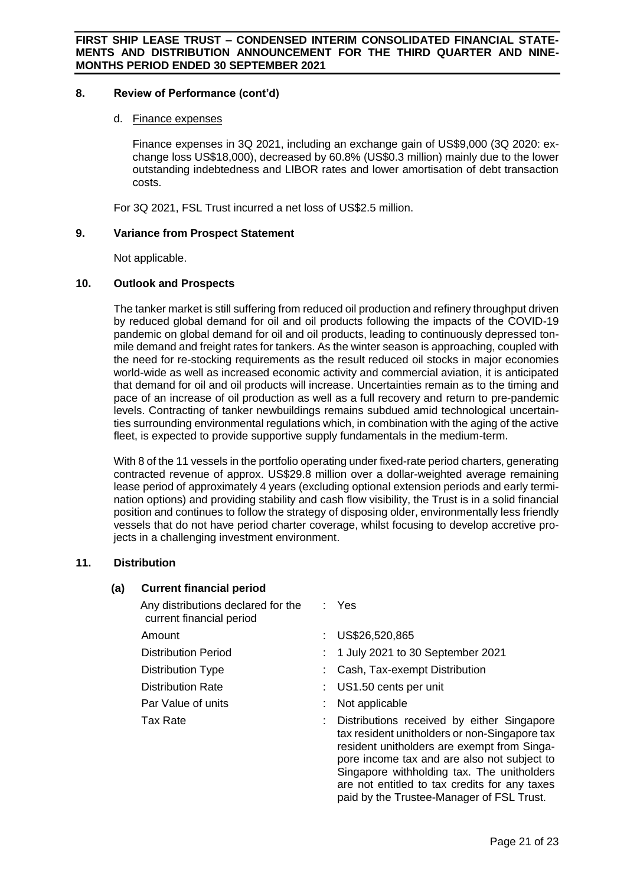# **8. Review of Performance (cont'd)**

### d. Finance expenses

Finance expenses in 3Q 2021, including an exchange gain of US\$9,000 (3Q 2020: exchange loss US\$18,000), decreased by 60.8% (US\$0.3 million) mainly due to the lower outstanding indebtedness and LIBOR rates and lower amortisation of debt transaction costs.

For 3Q 2021, FSL Trust incurred a net loss of US\$2.5 million.

### **9. Variance from Prospect Statement**

Not applicable.

### **10. Outlook and Prospects**

The tanker market is still suffering from reduced oil production and refinery throughput driven by reduced global demand for oil and oil products following the impacts of the COVID-19 pandemic on global demand for oil and oil products, leading to continuously depressed tonmile demand and freight rates for tankers. As the winter season is approaching, coupled with the need for re-stocking requirements as the result reduced oil stocks in major economies world-wide as well as increased economic activity and commercial aviation, it is anticipated that demand for oil and oil products will increase. Uncertainties remain as to the timing and pace of an increase of oil production as well as a full recovery and return to pre-pandemic levels. Contracting of tanker newbuildings remains subdued amid technological uncertainties surrounding environmental regulations which, in combination with the aging of the active fleet, is expected to provide supportive supply fundamentals in the medium-term.

With 8 of the 11 vessels in the portfolio operating under fixed-rate period charters, generating contracted revenue of approx. US\$29.8 million over a dollar-weighted average remaining lease period of approximately 4 years (excluding optional extension periods and early termination options) and providing stability and cash flow visibility, the Trust is in a solid financial position and continues to follow the strategy of disposing older, environmentally less friendly vessels that do not have period charter coverage, whilst focusing to develop accretive projects in a challenging investment environment.

# **11. Distribution**

# **(a) Current financial period**

- Any distributions declared for the current financial period : Yes Amount : US\$26,520,865 Distribution Period : 1 July 2021 to 30 September 2021 Distribution Type : Cash, Tax-exempt Distribution Distribution Rate : US1.50 cents per unit Par Value of units : Not applicable Tax Rate **: Distributions received by either Singapore** : Distributions received by either Singapore
	- tax resident unitholders or non-Singapore tax resident unitholders are exempt from Singapore income tax and are also not subject to Singapore withholding tax. The unitholders are not entitled to tax credits for any taxes paid by the Trustee-Manager of FSL Trust.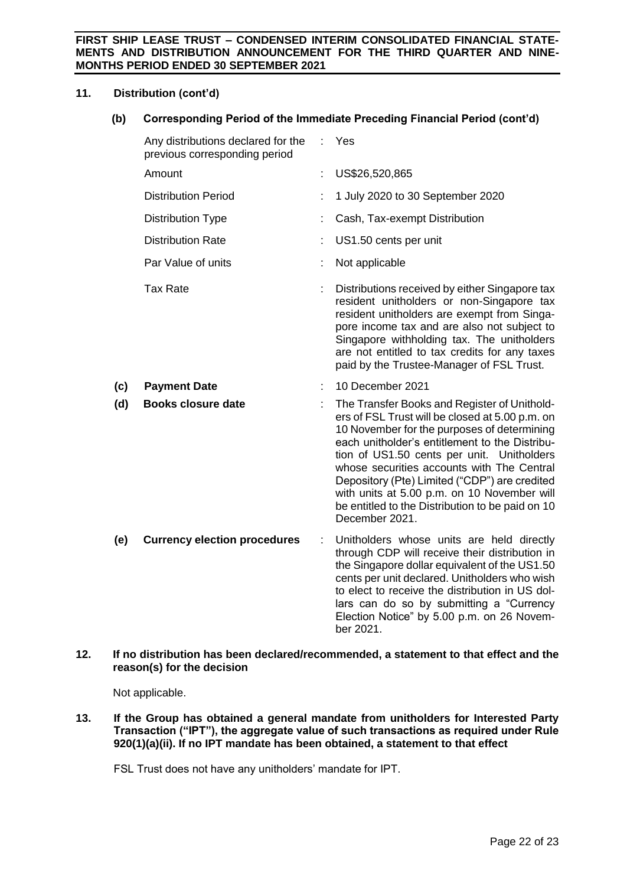# **11. Distribution (cont'd)**

**(b) Corresponding Period of the Immediate Preceding Financial Period (cont'd)**

|     | Any distributions declared for the<br>previous corresponding period |   | Yes                                                                                                                                                                                                                                                                                                                                                                                                                                                                |
|-----|---------------------------------------------------------------------|---|--------------------------------------------------------------------------------------------------------------------------------------------------------------------------------------------------------------------------------------------------------------------------------------------------------------------------------------------------------------------------------------------------------------------------------------------------------------------|
|     | Amount                                                              |   | US\$26,520,865                                                                                                                                                                                                                                                                                                                                                                                                                                                     |
|     | <b>Distribution Period</b>                                          |   | 1 July 2020 to 30 September 2020                                                                                                                                                                                                                                                                                                                                                                                                                                   |
|     | <b>Distribution Type</b>                                            |   | Cash, Tax-exempt Distribution                                                                                                                                                                                                                                                                                                                                                                                                                                      |
|     | <b>Distribution Rate</b>                                            |   | US1.50 cents per unit                                                                                                                                                                                                                                                                                                                                                                                                                                              |
|     | Par Value of units                                                  |   | Not applicable                                                                                                                                                                                                                                                                                                                                                                                                                                                     |
|     | <b>Tax Rate</b>                                                     |   | Distributions received by either Singapore tax<br>resident unitholders or non-Singapore tax<br>resident unitholders are exempt from Singa-<br>pore income tax and are also not subject to<br>Singapore withholding tax. The unitholders<br>are not entitled to tax credits for any taxes<br>paid by the Trustee-Manager of FSL Trust.                                                                                                                              |
| (c) | <b>Payment Date</b>                                                 |   | 10 December 2021                                                                                                                                                                                                                                                                                                                                                                                                                                                   |
| (d) | <b>Books closure date</b>                                           |   | The Transfer Books and Register of Unithold-<br>ers of FSL Trust will be closed at 5.00 p.m. on<br>10 November for the purposes of determining<br>each unitholder's entitlement to the Distribu-<br>tion of US1.50 cents per unit. Unitholders<br>whose securities accounts with The Central<br>Depository (Pte) Limited ("CDP") are credited<br>with units at 5.00 p.m. on 10 November will<br>be entitled to the Distribution to be paid on 10<br>December 2021. |
| (e) | <b>Currency election procedures</b>                                 | ÷ | Unitholders whose units are held directly<br>through CDP will receive their distribution in<br>the Singapore dollar equivalent of the US1.50<br>cents per unit declared. Unitholders who wish<br>to elect to receive the distribution in US dol-<br>lars can do so by submitting a "Currency<br>Election Notice" by 5.00 p.m. on 26 Novem-<br>ber 2021.                                                                                                            |

# **12. If no distribution has been declared/recommended, a statement to that effect and the reason(s) for the decision**

Not applicable.

**13. If the Group has obtained a general mandate from unitholders for Interested Party Transaction ("IPT"), the aggregate value of such transactions as required under Rule 920(1)(a)(ii). If no IPT mandate has been obtained, a statement to that effect**

FSL Trust does not have any unitholders' mandate for IPT.